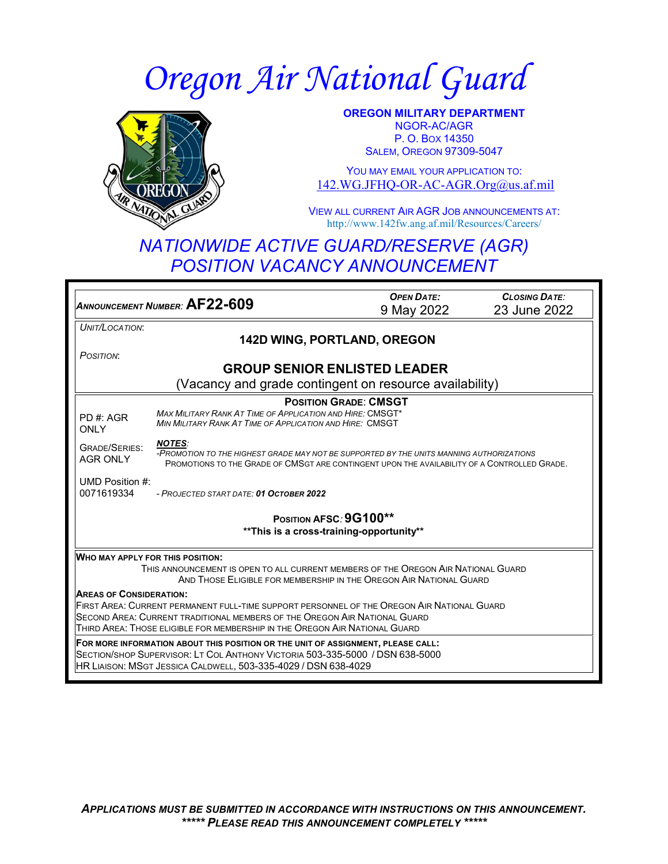# *Oregon Air National Guard*



**OREGON MILITARY DEPARTMENT** NGOR-AC/AGR P. O. BOX 14350 **SALEM, OREGON 97309-5047** 

YOU MAY EMAIL YOUR APPLICATION TO: [142.WG.JFHQ-OR-AC-AGR.Org@us.af.mil](mailto:142.WG.JFHQ-OR-AC-AGR.Org@us.af.mil)

VIEW ALL CURRENT AIR AGR JOB ANNOUNCEMENTS AT: http://www.142fw.ang.af.mil/Resources/Careers/

## *NATIONWIDE ACTIVE GUARD/RESERVE (AGR) POSITION VACANCY ANNOUNCEMENT*

*ANNOUNCEMENT NUMBER:* **AF22-609** *OPEN DATE:* 9 May 2022 *CLOSING DATE:* 23 June 2022 *UNIT/LOCATION*: **142D WING, PORTLAND, OREGON** *POSITION*: **GROUP SENIOR ENLISTED LEADER** (Vacancy and grade contingent on resource availability) PD #: AGR **ONLY** GRADE/SERIES: AGR ONLY UMD Position #: 0071619334 **POSITION GRADE**: **CMSGT** *MAX MILITARY RANK AT TIME OF APPLICATION AND HIRE:* CMSGT\* *MIN MILITARY RANK AT TIME OF APPLICATION AND HIRE:* CMSGT *NOTES: -PROMOTION TO THE HIGHEST GRADE MAY NOT BE SUPPORTED BY THE UNITS MANNING AUTHORIZATIONS* PROMOTIONS TO THE GRADE OF CMSGT ARE CONTINGENT UPON THE AVAILABILITY OF A CONTROLLED GRADE. *- PROJECTED START DATE: 01 OCTOBER 2022* **POSITION AFSC***:* **9G100\*\* \*\*This is a cross-training-opportunity\*\* WHO MAY APPLY FOR THIS POSITION:** THIS ANNOUNCEMENT IS OPEN TO ALL CURRENT MEMBERS OF THE OREGON AIR NATIONAL GUARD AND THOSE ELIGIBLE FOR MEMBERSHIP IN THE OREGON AIR NATIONAL GUARD **AREAS OF CONSIDERATION:** FIRST AREA: CURRENT PERMANENT FULL-TIME SUPPORT PERSONNEL OF THE OREGON AIR NATIONAL GUARD SECOND AREA: CURRENT TRADITIONAL MEMBERS OF THE OREGON AIR NATIONAL GUARD THIRD AREA: THOSE ELIGIBLE FOR MEMBERSHIP IN THE OREGON AIR NATIONAL GUARD **FOR MORE INFORMATION ABOUT THIS POSITION OR THE UNIT OF ASSIGNMENT, PLEASE CALL:** SECTION/SHOP SUPERVISOR: LT COL ANTHONY VICTORIA 503-335-5000 / DSN 638-5000 HR LIAISON: MSGT JESSICA CALDWELL, 503-335-4029 / DSN 638-4029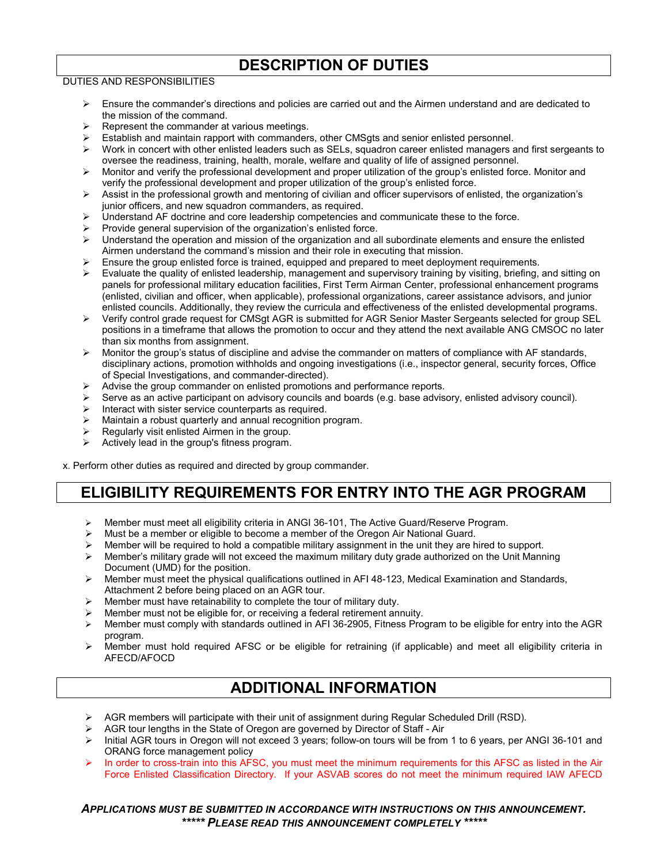## **DESCRIPTION OF DUTIES**

#### DUTIES AND RESPONSIBILITIES

- $\triangleright$  Ensure the commander's directions and policies are carried out and the Airmen understand and are dedicated to the mission of the command.
- Represent the commander at various meetings.
- Establish and maintain rapport with commanders, other CMSgts and senior enlisted personnel.
- $\triangleright$  Work in concert with other enlisted leaders such as SELs, squadron career enlisted managers and first sergeants to oversee the readiness, training, health, morale, welfare and quality of life of assigned personnel.
- Monitor and verify the professional development and proper utilization of the group's enlisted force. Monitor and verify the professional development and proper utilization of the group's enlisted force.
- $\triangleright$  Assist in the professional growth and mentoring of civilian and officer supervisors of enlisted, the organization's junior officers, and new squadron commanders, as required.
- $\triangleright$  Understand AF doctrine and core leadership competencies and communicate these to the force.
- $\triangleright$  Provide general supervision of the organization's enlisted force.
- $\triangleright$  Understand the operation and mission of the organization and all subordinate elements and ensure the enlisted Airmen understand the command's mission and their role in executing that mission.
- Ensure the group enlisted force is trained, equipped and prepared to meet deployment requirements.
- $\triangleright$  Evaluate the quality of enlisted leadership, management and supervisory training by visiting, briefing, and sitting on panels for professional military education facilities, First Term Airman Center, professional enhancement programs (enlisted, civilian and officer, when applicable), professional organizations, career assistance advisors, and junior enlisted councils. Additionally, they review the curricula and effectiveness of the enlisted developmental programs.
- Verify control grade request for CMSgt AGR is submitted for AGR Senior Master Sergeants selected for group SEL positions in a timeframe that allows the promotion to occur and they attend the next available ANG CMSOC no later than six months from assignment.
- $\triangleright$  Monitor the group's status of discipline and advise the commander on matters of compliance with AF standards, disciplinary actions, promotion withholds and ongoing investigations (i.e., inspector general, security forces, Office of Special Investigations, and commander-directed).
- Advise the group commander on enlisted promotions and performance reports.
- Serve as an active participant on advisory councils and boards (e.g. base advisory, enlisted advisory council).<br>
Interact with sister service counterparts as required.
- Interact with sister service counterparts as required.
- $\triangleright$  Maintain a robust quarterly and annual recognition program.
- Regularly visit enlisted Airmen in the group.<br>  $\triangleright$  Actively lead in the group's fitness program.
- Actively lead in the group's fitness program.

x. Perform other duties as required and directed by group commander.

## **ELIGIBILITY REQUIREMENTS FOR ENTRY INTO THE AGR PROGRAM**

- Member must meet all eligibility criteria in ANGI 36-101, The Active Guard/Reserve Program.
- Must be a member or eligible to become a member of the Oregon Air National Guard.
- Member will be required to hold a compatible military assignment in the unit they are hired to support.<br>Member's military grade will not exceed the maximum military duty grade authorized on the Unit Mann
- Member's military grade will not exceed the maximum military duty grade authorized on the Unit Manning Document (UMD) for the position.
- $\triangleright$  Member must meet the physical qualifications outlined in AFI 48-123, Medical Examination and Standards, Attachment 2 before being placed on an AGR tour.
- Member must have retainability to complete the tour of military duty.
- Member must not be eligible for, or receiving a federal retirement annuity.
- Member must comply with standards outlined in AFI 36-2905, Fitness Program to be eligible for entry into the AGR program.
- Member must hold required AFSC or be eligible for retraining (if applicable) and meet all eligibility criteria in AFECD/AFOCD

#### **ADDITIONAL INFORMATION**

- $\triangleright$  AGR members will participate with their unit of assignment during Regular Scheduled Drill (RSD).
- $\triangleright$  AGR tour lengths in the State of Oregon are governed by Director of Staff Air
- > Initial AGR tours in Oregon will not exceed 3 years; follow-on tours will be from 1 to 6 years, per ANGI 36-101 and ORANG force management policy
- In order to cross-train into this AFSC, you must meet the minimum requirements for this AFSC as listed in the Air Force Enlisted Classification Directory. If your ASVAB scores do not meet the minimum required IAW AFECD

#### *APPLICATIONS MUST BE SUBMITTED IN ACCORDANCE WITH INSTRUCTIONS ON THIS ANNOUNCEMENT. \*\*\*\*\* PLEASE READ THIS ANNOUNCEMENT COMPLETELY \*\*\*\*\**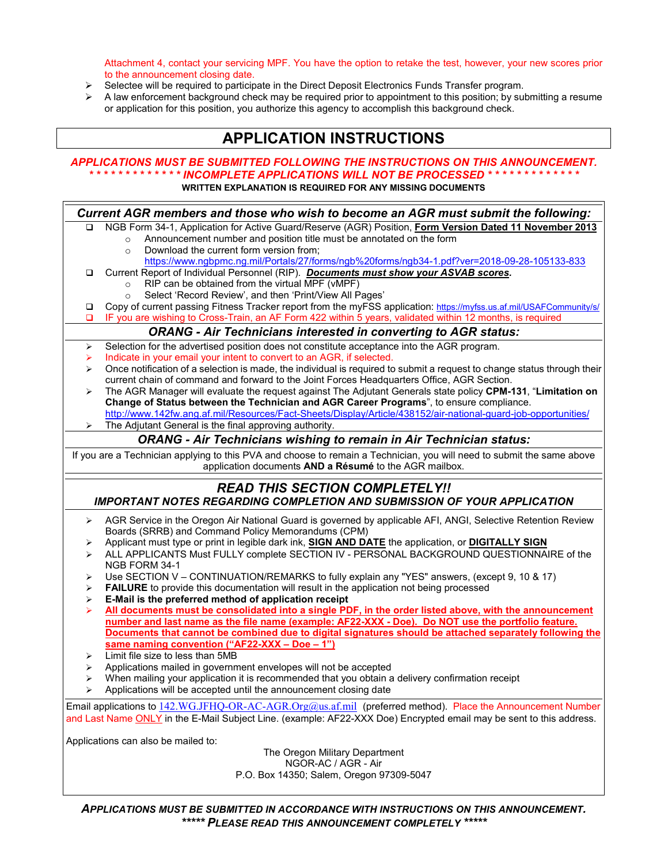Attachment 4, contact your servicing MPF. You have the option to retake the test, however, your new scores prior to the announcement closing date.

- $\triangleright$  Selectee will be required to participate in the Direct Deposit Electronics Funds Transfer program.<br>  $\triangleright$  A law enforcement background check may be required prior to appointment to this position; by su
- A law enforcement background check may be required prior to appointment to this position; by submitting a resume or application for this position, you authorize this agency to accomplish this background check.

#### **APPLICATION INSTRUCTIONS**

#### *APPLICATIONS MUST BE SUBMITTED FOLLOWING THE INSTRUCTIONS ON THIS ANNOUNCEMENT. \* \* \* \* \* \* \* \* \* \* \* \* \* INCOMPLETE APPLICATIONS WILL NOT BE PROCESSED \* \* \* \* \* \* \* \* \* \* \* \* \**

**WRITTEN EXPLANATION IS REQUIRED FOR ANY MISSING DOCUMENTS**

| Current AGR members and those who wish to become an AGR must submit the following:                                  |                                                                                                                                                                                           |
|---------------------------------------------------------------------------------------------------------------------|-------------------------------------------------------------------------------------------------------------------------------------------------------------------------------------------|
| ◘                                                                                                                   | NGB Form 34-1, Application for Active Guard/Reserve (AGR) Position, Form Version Dated 11 November 2013                                                                                   |
|                                                                                                                     | Announcement number and position title must be annotated on the form<br>$\circ$                                                                                                           |
|                                                                                                                     | Download the current form version from;<br>$\circ$                                                                                                                                        |
|                                                                                                                     | https://www.ngbpmc.ng.mil/Portals/27/forms/ngb%20forms/ngb34-1.pdf?ver=2018-09-28-105133-833                                                                                              |
| $\Box$                                                                                                              | Current Report of Individual Personnel (RIP). Documents must show your ASVAB scores.                                                                                                      |
|                                                                                                                     | RIP can be obtained from the virtual MPF (vMPF)<br>$\circ$                                                                                                                                |
|                                                                                                                     | Select 'Record Review', and then 'Print/View All Pages'<br>$\circ$<br>Copy of current passing Fitness Tracker report from the myFSS application: https://myfss.us.af.mil/USAFCommunity/s/ |
| □<br>o                                                                                                              | IF you are wishing to Cross-Train, an AF Form 422 within 5 years, validated within 12 months, is required                                                                                 |
|                                                                                                                     | <b>ORANG - Air Technicians interested in converting to AGR status:</b>                                                                                                                    |
| ➤                                                                                                                   | Selection for the advertised position does not constitute acceptance into the AGR program.                                                                                                |
| ➤                                                                                                                   | Indicate in your email your intent to convert to an AGR, if selected.                                                                                                                     |
| ➤                                                                                                                   | Once notification of a selection is made, the individual is required to submit a request to change status through their                                                                   |
|                                                                                                                     | current chain of command and forward to the Joint Forces Headquarters Office, AGR Section.                                                                                                |
| ⋗                                                                                                                   | The AGR Manager will evaluate the request against The Adjutant Generals state policy CPM-131, "Limitation on                                                                              |
|                                                                                                                     | Change of Status between the Technician and AGR Career Programs", to ensure compliance.                                                                                                   |
|                                                                                                                     | http://www.142fw.ang.af.mil/Resources/Fact-Sheets/Display/Article/438152/air-national-guard-job-opportunities/<br>The Adjutant General is the final approving authority.                  |
|                                                                                                                     | <b>ORANG - Air Technicians wishing to remain in Air Technician status:</b>                                                                                                                |
|                                                                                                                     |                                                                                                                                                                                           |
|                                                                                                                     | If you are a Technician applying to this PVA and choose to remain a Technician, you will need to submit the same above<br>application documents AND a Résumé to the AGR mailbox.          |
|                                                                                                                     |                                                                                                                                                                                           |
| <b>READ THIS SECTION COMPLETELY!!</b>                                                                               |                                                                                                                                                                                           |
| <b>IMPORTANT NOTES REGARDING COMPLETION AND SUBMISSION OF YOUR APPLICATION</b>                                      |                                                                                                                                                                                           |
| ➤                                                                                                                   | AGR Service in the Oregon Air National Guard is governed by applicable AFI, ANGI, Selective Retention Review                                                                              |
|                                                                                                                     | Boards (SRRB) and Command Policy Memorandums (CPM)                                                                                                                                        |
| ➤                                                                                                                   | Applicant must type or print in legible dark ink, <b>SIGN AND DATE</b> the application, or <b>DIGITALLY SIGN</b>                                                                          |
| ➤                                                                                                                   | ALL APPLICANTS Must FULLY complete SECTION IV - PERSONAL BACKGROUND QUESTIONNAIRE of the                                                                                                  |
|                                                                                                                     | NGB FORM 34-1<br>Use SECTION V - CONTINUATION/REMARKS to fully explain any "YES" answers, (except 9, 10 & 17)                                                                             |
| ⋗<br>⋗                                                                                                              | <b>FAILURE</b> to provide this documentation will result in the application not being processed                                                                                           |
| ➤                                                                                                                   | E-Mail is the preferred method of application receipt                                                                                                                                     |
| ➤                                                                                                                   | All documents must be consolidated into a single PDF, in the order listed above, with the announcement                                                                                    |
|                                                                                                                     | number and last name as the file name (example: AF22-XXX - Doe). Do NOT use the portfolio feature.                                                                                        |
|                                                                                                                     | Documents that cannot be combined due to digital signatures should be attached separately following the                                                                                   |
|                                                                                                                     | same naming convention ("AF22-XXX - Doe - 1")                                                                                                                                             |
| ⋗                                                                                                                   | Limit file size to less than 5MB                                                                                                                                                          |
| ⋗                                                                                                                   | Applications mailed in government envelopes will not be accepted                                                                                                                          |
| ⋗                                                                                                                   | When mailing your application it is recommended that you obtain a delivery confirmation receipt                                                                                           |
| ⋗                                                                                                                   | Applications will be accepted until the announcement closing date                                                                                                                         |
|                                                                                                                     | Email applications to 142.WG.JFHQ-OR-AC-AGR.Org@us.af.mil (preferred method). Place the Announcement Number                                                                               |
| and Last Name ONLY in the E-Mail Subject Line. (example: AF22-XXX Doe) Encrypted email may be sent to this address. |                                                                                                                                                                                           |
| Applications can also be mailed to:                                                                                 |                                                                                                                                                                                           |
| The Oregon Military Department                                                                                      |                                                                                                                                                                                           |
|                                                                                                                     | NGOR-AC / AGR - Air                                                                                                                                                                       |
|                                                                                                                     | P.O. Box 14350; Salem, Oregon 97309-5047                                                                                                                                                  |
|                                                                                                                     |                                                                                                                                                                                           |
| ADDI ICATIONS MUST DE SUBMITTED IN ACCODDANCE MITH INSTDUCTIONS ON THIS ANNOUNCEMENT                                |                                                                                                                                                                                           |

*APPLICATIONS MUST BE SUBMITTED IN ACCORDANCE WITH INSTRUCTIONS ON THIS ANNOUNCEMENT. \*\*\*\*\* PLEASE READ THIS ANNOUNCEMENT COMPLETELY \*\*\*\*\**